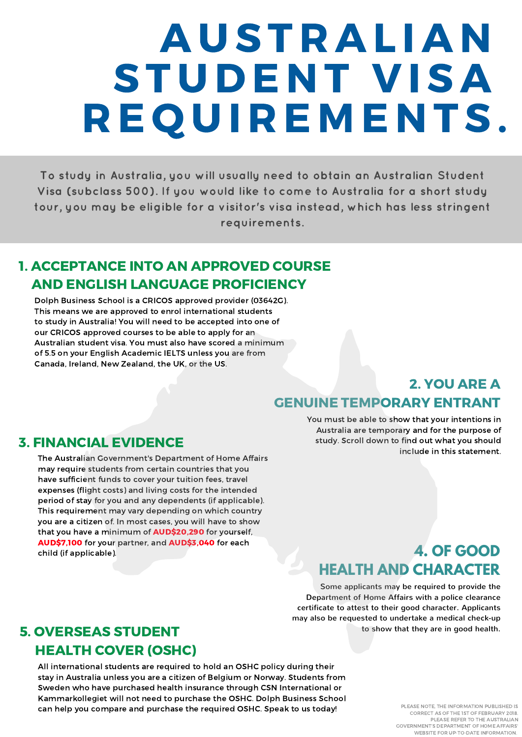# A U ST R A L I A N STUDENT VISA R E Q U I R E M E N TS.

To study in Australia, you will usually need to obtain an Australian Student Visa (subclass 500). If you would like to come to Australia for a short study tour, you may be eligible for a visitor's visa instead, which has less stringent requirements.

## 1. ACCEPTANCE INTO AN APPROVED COURSE AND ENGLISH LANGUAGE PROFICIENCY

Dolph Business School is a CRICOS approved provider (03642G). This means we are approved to enrol international students to study in Australia! You will need to be accepted into one of our CRICOS approved courses to be able to apply for an Australian student visa. You must also have scored a minimum of 5.5 on your English Academic IELTS unless you are from Canada, Ireland, New Zealand, the UK, or the US.

### 2. YOU ARE A GENUINE TEMPORARY ENTRANT

### 3. FINANCIAL EVIDENCE

The Australian Government's Department of Home Affairs may require students from certain countries that you have sufficient funds to cover your tuition fees, travel expenses (flight costs) and living costs for the intended period of stay for you and any dependents (if applicable). This requirement may vary depending on which country you are a citizen of. In most cases, you will have to show that you have a minimum of **AUD\$20,290** for yourself, AUD\$7,100 for your partner, and AUD\$3,040 for each child (if applicable).

You must be able to show that your intentions in Australia are temporary and for the purpose of study. Scroll down to find out what you should include in this statement.

### **4. OF GOOD HEALTH AND CHARACTER**

Some applicants may be required to provide the Department of Home Affairs with a police clearance certificate to attest to their good character. Applicants may also be requested to undertake a medical check-up to show that they are in good health.

### 5. OVERSEAS STUDENT HEALTH COVER (OSHC)

All international students are required to hold an OSHC policy during their stay in Australia unless you are a citizen of Belgium or Norway. Students from Sweden who have purchased health insurance through CSN International or Kammarkollegiet will not need to purchase the OSHC. Dolph Business School can help you compare and purchase the required OSHC. Speak to us today!

PLEASE NOTE, THE INFORMATION PUBLISHED IS CORRECT AS OF THE 1ST OF FEBRUARY 2018. PLEASE REFER TO THE AUSTRALIAN GOVERNMENT'S DEPARTMENT OF HOME AFFAIRS' WEBSITE FOR UP-TO-DATE [INFORMATION.](https://www.homeaffairs.gov.au/trav/visa-1/500-)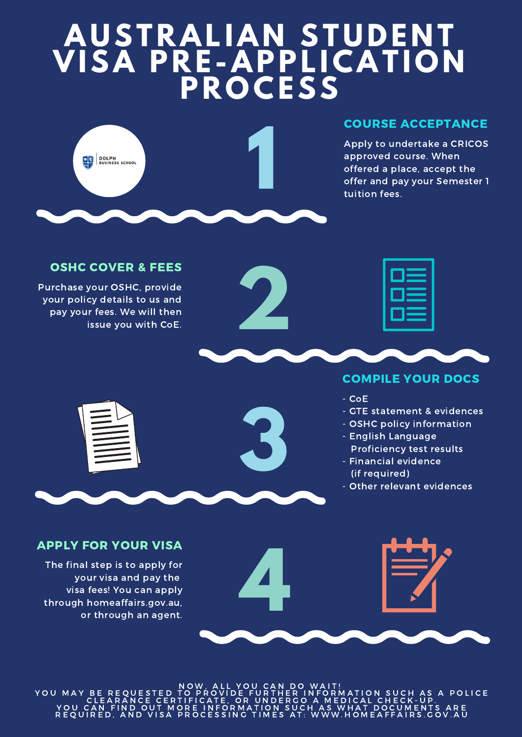# **AU ST RAL IA N ST U D E N T VISA P R E -APPL ICAT I O N P R O CESS**



### COURSE ACCEPTANCE

Apply to undertake a CRICOS approved course. When offered a place, accept the offer and pay your Semester 1 tuition fees.



Purchase your OSHC, provide your policy details to us and pay your fees. We will then issue you with CoE.

**3**

#### COMPILE YOUR DOCS

- CoE
- GTE statement & evidences
- OSHC policy information
- English Language Proficiency test results
- Financial evidence (if required)
- Other relevant evidences

#### APPLY FOR YOUR VISA

The final step is to apply for your visa and pay the visa fees! You can apply through [homeaffairs.gov.au,](https://www.homeaffairs.gov.au/) or through an agent.



NOW, ALL YOU CAN DO WAIT!<br>YOU MAY BE REOUESTED TO PROVIDE FURTHER INFORMATION SUCH AS A POLICE C LEARANCE CERTIFICATE, OR UNDERGO A MEDICAL CHECK-UP.<br>YOU CAN FIND OUT MORE INFORMATION SUCH AS [W](https://www.homeaffairs.gov.au/trav/visa-1/500-)HAT DOCUMENTS ARE R E Q U I R E D , A N D V I S A P R O C E S S I N G T I M E S A T : W W W . H O M E A F F A I R S . G O V . A U